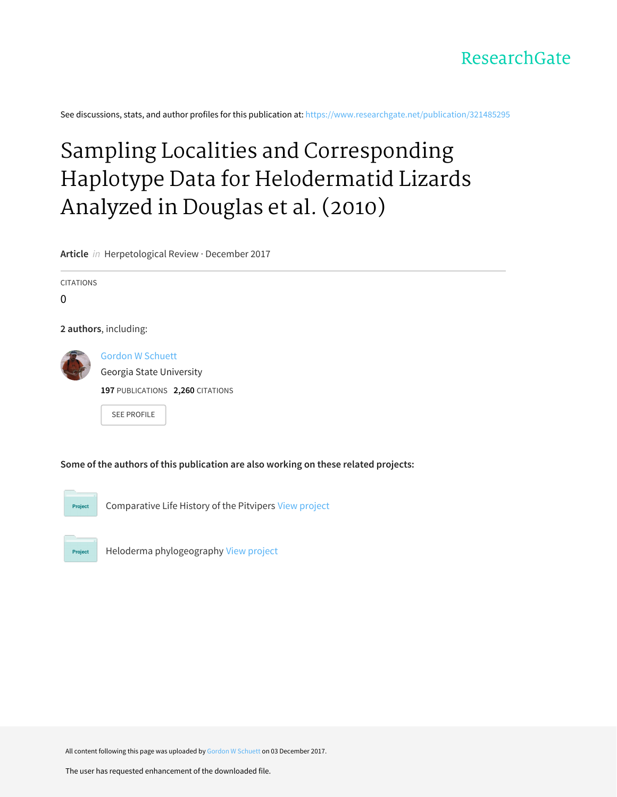

See discussions, stats, and author profiles for this publication at: [https://www.researchgate.net/publication/321485295](https://www.researchgate.net/publication/321485295_Sampling_Localities_and_Corresponding_Haplotype_Data_for_Helodermatid_Lizards_Analyzed_in_Douglas_et_al_2010?enrichId=rgreq-6688661b35514edf6a813d1d8efab24c-XXX&enrichSource=Y292ZXJQYWdlOzMyMTQ4NTI5NTtBUzo1Njc1ODUyNjUyNjI1OTNAMTUxMjMzNDI4MDk1Mw%3D%3D&el=1_x_2&_esc=publicationCoverPdf)

# Sampling Localities and [Corresponding](https://www.researchgate.net/publication/321485295_Sampling_Localities_and_Corresponding_Haplotype_Data_for_Helodermatid_Lizards_Analyzed_in_Douglas_et_al_2010?enrichId=rgreq-6688661b35514edf6a813d1d8efab24c-XXX&enrichSource=Y292ZXJQYWdlOzMyMTQ4NTI5NTtBUzo1Njc1ODUyNjUyNjI1OTNAMTUxMjMzNDI4MDk1Mw%3D%3D&el=1_x_3&_esc=publicationCoverPdf) Haplotype Data for Helodermatid Lizards Analyzed in Douglas et al. (2010)

**Article** in Herpetological Review · December 2017

CITATIONS

 $\Omega$ 

**2 authors**, including:



Gordon W [Schuett](https://www.researchgate.net/profile/Gordon_Schuett?enrichId=rgreq-6688661b35514edf6a813d1d8efab24c-XXX&enrichSource=Y292ZXJQYWdlOzMyMTQ4NTI5NTtBUzo1Njc1ODUyNjUyNjI1OTNAMTUxMjMzNDI4MDk1Mw%3D%3D&el=1_x_5&_esc=publicationCoverPdf) Georgia State [University](https://www.researchgate.net/institution/Georgia_State_University?enrichId=rgreq-6688661b35514edf6a813d1d8efab24c-XXX&enrichSource=Y292ZXJQYWdlOzMyMTQ4NTI5NTtBUzo1Njc1ODUyNjUyNjI1OTNAMTUxMjMzNDI4MDk1Mw%3D%3D&el=1_x_6&_esc=publicationCoverPdf) **197** PUBLICATIONS **2,260** CITATIONS

SEE [PROFILE](https://www.researchgate.net/profile/Gordon_Schuett?enrichId=rgreq-6688661b35514edf6a813d1d8efab24c-XXX&enrichSource=Y292ZXJQYWdlOzMyMTQ4NTI5NTtBUzo1Njc1ODUyNjUyNjI1OTNAMTUxMjMzNDI4MDk1Mw%3D%3D&el=1_x_7&_esc=publicationCoverPdf)

**Some of the authors of this publication are also working on these related projects:**



Comparative Life History of the Pitvipers View [project](https://www.researchgate.net/project/Comparative-Life-History-of-the-Pitvipers?enrichId=rgreq-6688661b35514edf6a813d1d8efab24c-XXX&enrichSource=Y292ZXJQYWdlOzMyMTQ4NTI5NTtBUzo1Njc1ODUyNjUyNjI1OTNAMTUxMjMzNDI4MDk1Mw%3D%3D&el=1_x_9&_esc=publicationCoverPdf)



Heloderma phylogeography View [project](https://www.researchgate.net/project/Heloderma-phylogeography?enrichId=rgreq-6688661b35514edf6a813d1d8efab24c-XXX&enrichSource=Y292ZXJQYWdlOzMyMTQ4NTI5NTtBUzo1Njc1ODUyNjUyNjI1OTNAMTUxMjMzNDI4MDk1Mw%3D%3D&el=1_x_9&_esc=publicationCoverPdf)

All content following this page was uploaded by Gordon W [Schuett](https://www.researchgate.net/profile/Gordon_Schuett?enrichId=rgreq-6688661b35514edf6a813d1d8efab24c-XXX&enrichSource=Y292ZXJQYWdlOzMyMTQ4NTI5NTtBUzo1Njc1ODUyNjUyNjI1OTNAMTUxMjMzNDI4MDk1Mw%3D%3D&el=1_x_10&_esc=publicationCoverPdf) on 03 December 2017.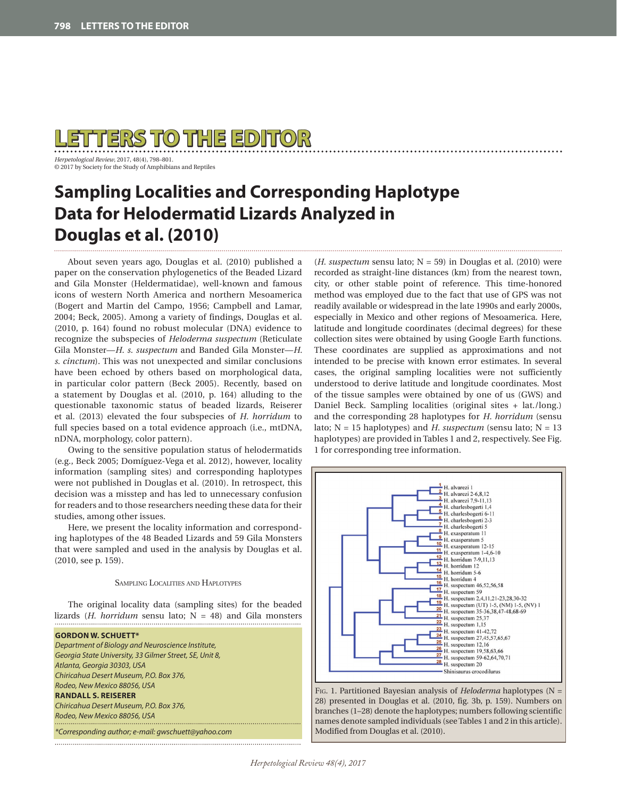

*Herpetological Review*, 2017, 48(4), 798–801. © 2017 by Society for the Study of Amphibians and Reptiles

## **Sampling Localities and Corresponding Haplotype Data for Helodermatid Lizards Analyzed in Douglas et al. (2010)**

About seven years ago, Douglas et al. (2010) published a paper on the conservation phylogenetics of the Beaded Lizard and Gila Monster (Heldermatidae), well-known and famous icons of western North America and northern Mesoamerica (Bogert and Martin del Campo, 1956; Campbell and Lamar, 2004; Beck, 2005). Among a variety of findings, Douglas et al. (2010, p. 164) found no robust molecular (DNA) evidence to recognize the subspecies of *Heloderma suspectum* (Reticulate Gila Monster—*H. s. suspectum* and Banded Gila Monster—*H. s. cinctum*). This was not unexpected and similar conclusions have been echoed by others based on morphological data, in particular color pattern (Beck 2005). Recently, based on a statement by Douglas et al. (2010, p. 164) alluding to the questionable taxonomic status of beaded lizards, Reiserer et al. (2013) elevated the four subspecies of *H. horridum* to full species based on a total evidence approach (i.e., mtDNA, nDNA, morphology, color pattern).

Owing to the sensitive population status of helodermatids (e.g., Beck 2005; Domíguez-Vega et al. 2012), however, locality information (sampling sites) and corresponding haplotypes were not published in Douglas et al. (2010). In retrospect, this decision was a misstep and has led to unnecessary confusion for readers and to those researchers needing these data for their studies, among other issues.

Here, we present the locality information and corresponding haplotypes of the 48 Beaded Lizards and 59 Gila Monsters that were sampled and used in the analysis by Douglas et al. (2010, see p. 159).

Sampling Localities and Haplotypes

The original locality data (sampling sites) for the beaded lizards (*H. horridum* sensu lato; N = 48) and Gila monsters

#### **GORDON W. SCHUETT\***

*Department of Biology and Neuroscience Institute, Georgia State University, 33 Gilmer Street, SE, Unit 8, Atlanta, Georgia 30303, USA Chiricahua Desert Museum, P.O. Box 376, Rodeo, New Mexico 88056, USA* **RANDALL S. REISERER** *Chiricahua Desert Museum, P.O. Box 376, Rodeo, New Mexico 88056, USA*

*\*Corresponding author; e-mail: gwschuett@yahoo.com* 

 $(H.$  suspectum sensu lato;  $N = 59$  in Douglas et al. (2010) were recorded as straight-line distances (km) from the nearest town, city, or other stable point of reference. This time-honored method was employed due to the fact that use of GPS was not readily available or widespread in the late 1990s and early 2000s, especially in Mexico and other regions of Mesoamerica. Here, latitude and longitude coordinates (decimal degrees) for these collection sites were obtained by using Google Earth functions. These coordinates are supplied as approximations and not intended to be precise with known error estimates. In several cases, the original sampling localities were not sufficiently understood to derive latitude and longitude coordinates. Most of the tissue samples were obtained by one of us (GWS) and Daniel Beck. Sampling localities (original sites + lat./long.) and the corresponding 28 haplotypes for *H. horridum* (sensu lato; N = 15 haplotypes) and *H. suspectum* (sensu lato; N = 13 haplotypes) are provided in Tables 1 and 2, respectively. See Fig. 1 for corresponding tree information.



Fig. 1. Partitioned Bayesian analysis of *Heloderma* haplotypes (N = 28) presented in Douglas et al. (2010, fig. 3b, p. 159). Numbers on branches (1–28) denote the haplotypes; numbers following scientific names denote sampled individuals (see Tables 1 and 2 in this article). Modified from Douglas et al. (2010).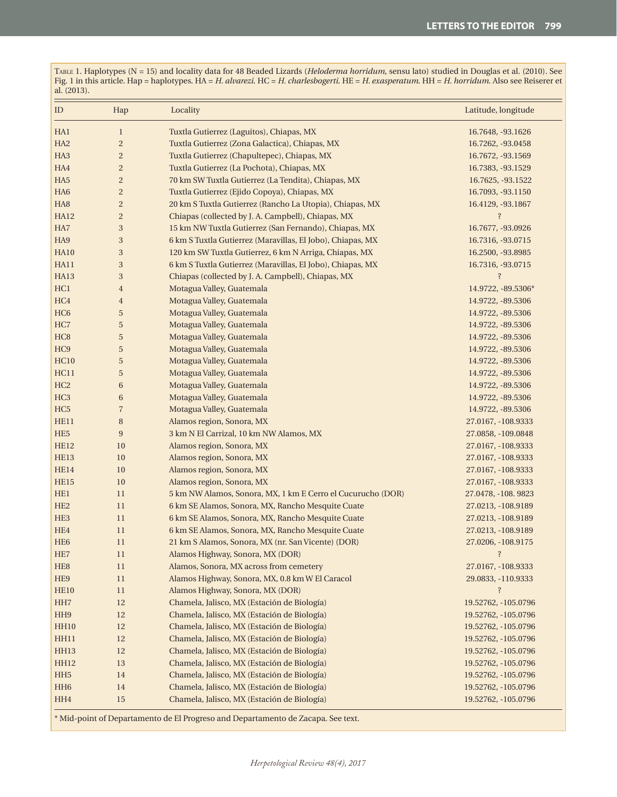Table 1. Haplotypes (N = 15) and locality data for 48 Beaded Lizards (*Heloderma horridum*, sensu lato) studied in Douglas et al. (2010). See Fig. 1 in this article. Hap = haplotypes. HA = *H. alvarezi*. HC = *H. charlesbogerti*. HE = *H. exasperatum*. HH = *H. horridum*. Also see Reiserer et al. (2013).

| ID              | Hap                     | Locality                                                    | Latitude, longitude |
|-----------------|-------------------------|-------------------------------------------------------------|---------------------|
| HA1             | $\mathbf{1}$            | Tuxtla Gutierrez (Laguitos), Chiapas, MX                    | 16.7648, -93.1626   |
| HA <sub>2</sub> | $\overline{c}$          | Tuxtla Gutierrez (Zona Galactica), Chiapas, MX              | 16.7262, -93.0458   |
| HA <sub>3</sub> | $\overline{\mathbf{c}}$ | Tuxtla Gutierrez (Chapultepec), Chiapas, MX                 | 16.7672, -93.1569   |
| HA4             | $\overline{\mathbf{c}}$ | Tuxtla Gutierrez (La Pochota), Chiapas, MX                  | 16.7383, -93.1529   |
| HA <sub>5</sub> | $\overline{\mathbf{c}}$ | 70 km SW Tuxtla Gutierrez (La Tendita), Chiapas, MX         | 16.7625, -93.1522   |
| HA <sub>6</sub> | $\overline{\mathbf{c}}$ | Tuxtla Gutierrez (Ejido Copoya), Chiapas, MX                | 16.7093, -93.1150   |
| HA <sub>8</sub> | $\overline{\mathbf{c}}$ | 20 km S Tuxtla Gutierrez (Rancho La Utopia), Chiapas, MX    | 16.4129, -93.1867   |
| <b>HA12</b>     | $\overline{\mathbf{c}}$ | Chiapas (collected by J. A. Campbell), Chiapas, MX          | $\ddot{S}$          |
| HA7             | $\,3$                   | 15 km NW Tuxtla Gutierrez (San Fernando), Chiapas, MX       | 16.7677, -93.0926   |
| HA9             | $\,3$                   | 6 km S Tuxtla Gutierrez (Maravillas, El Jobo), Chiapas, MX  | 16.7316, -93.0715   |
| <b>HA10</b>     | $\,3$                   | 120 km SW Tuxtla Gutierrez, 6 km N Arriga, Chiapas, MX      | 16.2500, -93.8985   |
| HA11            | $\,3$                   | 6 km S Tuxtla Gutierrez (Maravillas, El Jobo), Chiapas, MX  | 16.7316, -93.0715   |
| HA13            | $\,3$                   | Chiapas (collected by J. A. Campbell), Chiapas, MX          | $\ddot{S}$          |
| HC1             | $\overline{4}$          | Motagua Valley, Guatemala                                   | 14.9722, -89.5306*  |
| HC <sub>4</sub> | $\overline{4}$          | Motagua Valley, Guatemala                                   | 14.9722, -89.5306   |
| HC <sub>6</sub> | $\sqrt{5}$              | Motagua Valley, Guatemala                                   | 14.9722, -89.5306   |
| HC7             | $\sqrt{5}$              | Motagua Valley, Guatemala                                   | 14.9722, -89.5306   |
| HC <sub>8</sub> | $\sqrt{5}$              | Motagua Valley, Guatemala                                   | 14.9722, -89.5306   |
| HC <sub>9</sub> | $\sqrt{5}$              | Motagua Valley, Guatemala                                   | 14.9722, -89.5306   |
| <b>HC10</b>     | $\sqrt{5}$              | Motagua Valley, Guatemala                                   | 14.9722, -89.5306   |
| HC11            | $\sqrt{5}$              | Motagua Valley, Guatemala                                   | 14.9722, -89.5306   |
| HC <sub>2</sub> | $\,6$                   | Motagua Valley, Guatemala                                   | 14.9722, -89.5306   |
| HC <sub>3</sub> | $\,6$                   | Motagua Valley, Guatemala                                   | 14.9722, -89.5306   |
| HC <sub>5</sub> | $\overline{7}$          | Motagua Valley, Guatemala                                   | 14.9722, -89.5306   |
| <b>HE11</b>     | $\, 8$                  | Alamos region, Sonora, MX                                   | 27.0167, -108.9333  |
| HE <sub>5</sub> | $\boldsymbol{9}$        | 3 km N El Carrizal, 10 km NW Alamos, MX                     | 27.0858, -109.0848  |
| <b>HE12</b>     | 10                      | Alamos region, Sonora, MX                                   | 27.0167, -108.9333  |
| <b>HE13</b>     | 10                      | Alamos region, Sonora, MX                                   | 27.0167, -108.9333  |
| <b>HE14</b>     | 10                      | Alamos region, Sonora, MX                                   | 27.0167, -108.9333  |
| <b>HE15</b>     | 10                      | Alamos region, Sonora, MX                                   | 27.0167, -108.9333  |
| HE1             | 11                      | 5 km NW Alamos, Sonora, MX, 1 km E Cerro el Cucurucho (DOR) | 27.0478, -108.9823  |
| HE <sub>2</sub> | 11                      | 6 km SE Alamos, Sonora, MX, Rancho Mesquite Cuate           | 27.0213, -108.9189  |
| HE <sub>3</sub> | 11                      | 6 km SE Alamos, Sonora, MX, Rancho Mesquite Cuate           | 27.0213, -108.9189  |
| HE4             | 11                      | 6 km SE Alamos, Sonora, MX, Rancho Mesquite Cuate           | 27.0213, -108.9189  |
| HE <sub>6</sub> | 11                      | 21 km S Alamos, Sonora, MX (nr. San Vicente) (DOR)          | 27.0206, -108.9175  |
| HE <sub>7</sub> | 11                      | Alamos Highway, Sonora, MX (DOR)                            | $\ddot{?}$          |
| HE <sub>8</sub> | 11                      | Alamos, Sonora, MX across from cemetery                     | 27.0167, -108.9333  |
| HE9             | 11                      | Alamos Highway, Sonora, MX, 0.8 km W El Caracol             | 29.0833, -110.9333  |
| <b>HE10</b>     | 11                      | Alamos Highway, Sonora, MX (DOR)                            | $\ddot{?}$          |
| HH7             | 12                      | Chamela, Jalisco, MX (Estación de Biología)                 | 19.52762, -105.0796 |
| HH9             | 12                      | Chamela, Jalisco, MX (Estación de Biología)                 | 19.52762, -105.0796 |
| <b>HH10</b>     | 12                      | Chamela, Jalisco, MX (Estación de Biología)                 | 19.52762, -105.0796 |
| HH11            | 12                      | Chamela, Jalisco, MX (Estación de Biología)                 | 19.52762, -105.0796 |
| HH13            | 12                      | Chamela, Jalisco, MX (Estación de Biología)                 | 19.52762, -105.0796 |
| <b>HH12</b>     | 13                      | Chamela, Jalisco, MX (Estación de Biología)                 | 19.52762, -105.0796 |
| HH <sub>5</sub> | 14                      | Chamela, Jalisco, MX (Estación de Biología)                 | 19.52762, -105.0796 |
| HH <sub>6</sub> | 14                      | Chamela, Jalisco, MX (Estación de Biología)                 | 19.52762, -105.0796 |
| HH4             | 15                      | Chamela, Jalisco, MX (Estación de Biología)                 | 19.52762, -105.0796 |

\* Mid-point of Departamento de El Progreso and Departamento de Zacapa. See text.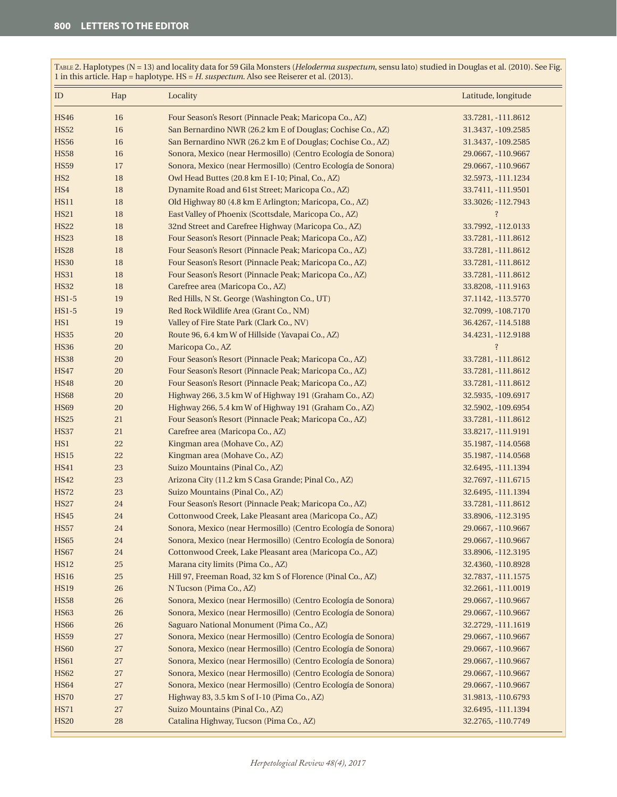**ID** Hap Locality **Latitude, longitude** HS46 16 Four Season's Resort (Pinnacle Peak; Maricopa Co., AZ) 33.7281, -111.8612 HS52 16 San Bernardino NWR (26.2 km E of Douglas; Cochise Co., AZ) 31.3437, -109.2585 HS56 16 San Bernardino NWR (26.2 km E of Douglas; Cochise Co., AZ) 31.3437, -109.2585 HS58 16 Sonora, Mexico (near Hermosillo) (Centro Ecología de Sonora) 29.0667, -110.9667 HS59 17 Sonora, Mexico (near Hermosillo) (Centro Ecología de Sonora) 29.0667, -110.9667 HS2 18 Owl Head Buttes (20.8 km E I-10; Pinal, Co., AZ) 32.5973, -111.1234 HS4 18 Dynamite Road and 61st Street; Maricopa Co., AZ) 33.7411, -111.9501 HS11 18 Old Highway 80 (4.8 km E Arlington; Maricopa, Co., AZ) 33.3026; -112.7943 HS21 18 East Valley of Phoenix (Scottsdale, Maricopa Co., AZ) 3 And 2012 HS22 18 32nd Street and Carefree Highway (Maricopa Co., AZ) 33.7992, -112.0133 HS23 18 Four Season's Resort (Pinnacle Peak; Maricopa Co., AZ) 33.7281, -111.8612 HS28 18 Four Season's Resort (Pinnacle Peak; Maricopa Co., AZ) 33.7281, -111.8612 HS30 18 Four Season's Resort (Pinnacle Peak; Maricopa Co., AZ) 33.7281, -111.8612 HS31 18 Four Season's Resort (Pinnacle Peak; Maricopa Co., AZ) 33.7281, -111.8612 HS32 18 Carefree area (Maricopa Co., AZ) 33.8208, -111.9163 HS1-5 19 Red Hills, N St. George (Washington Co., UT) 37.1142, -113.5770 HS1-5 19 Red Rock Wildlife Area (Grant Co., NM) 32.7099, -108.7170 HS1 19 Valley of Fire State Park (Clark Co., NV) 36.4267, -114.5188 HS35 20 Route 96, 6.4 km W of Hillside (Yavapai Co., AZ) 34.4231, -112.9188 HS36 20 Maricopa Co., AZ ? HS38 20 Four Season's Resort (Pinnacle Peak; Maricopa Co., AZ) 33.7281, -111.8612 HS47 20 Four Season's Resort (Pinnacle Peak; Maricopa Co., AZ) 33.7281, -111.8612 HS48 20 Four Season's Resort (Pinnacle Peak; Maricopa Co., AZ) 33.7281, -111.8612 HS68 20 Highway 266, 3.5 km W of Highway 191 (Graham Co., AZ) 32.5935, -109.6917 HS69 20 Highway 266, 5.4 km W of Highway 191 (Graham Co., AZ) 32.5902, -109.6954 HS25 21 Four Season's Resort (Pinnacle Peak; Maricopa Co., AZ) 33.7281, -111.8612 HS37 21 Carefree area (Maricopa Co., AZ) 33.8217, -111.9191 HS1 22 Kingman area (Mohave Co., AZ) 35.1987, -114.0568 HS15 22 Kingman area (Mohave Co., AZ) 35.1987, -114.0568 HS41 23 Suizo Mountains (Pinal Co., AZ) 32.6495, -111.1394 HS42 23 Arizona City (11.2 km S Casa Grande; Pinal Co., AZ) 32.7697, -111.6715 HS72 23 Suizo Mountains (Pinal Co., AZ) 32.6495, -111.1394 HS27 24 Four Season's Resort (Pinnacle Peak; Maricopa Co., AZ) 33.7281, -111.8612 HS45 24 Cottonwood Creek, Lake Pleasant area (Maricopa Co., AZ) 33.8906, -112.3195 HS57 24 Sonora, Mexico (near Hermosillo) (Centro Ecología de Sonora) 29.0667, -110.9667 HS65 24 Sonora, Mexico (near Hermosillo) (Centro Ecología de Sonora) 29.0667, -110.9667 HS67 24 Cottonwood Creek, Lake Pleasant area (Maricopa Co., AZ) 33.8906, -112.3195 HS12 25 Marana city limits (Pima Co., AZ) 32.4360, -110.8928 HS16 25 Hill 97, Freeman Road, 32 km S of Florence (Pinal Co., AZ) 32.7837, -111.1575 HS19 26 N Tucson (Pima Co., AZ) 32.2661, -111.0019 HS58 26 Sonora, Mexico (near Hermosillo) (Centro Ecología de Sonora) 29.0667, -110.9667 HS63 26 Sonora, Mexico (near Hermosillo) (Centro Ecología de Sonora) 29.0667, -110.9667 HS66 26 Saguaro National Monument (Pima Co., AZ) 32.2729, -111.1619 HS59 27 Sonora, Mexico (near Hermosillo) (Centro Ecología de Sonora) 29.0667, -110.9667 HS60 27 Sonora, Mexico (near Hermosillo) (Centro Ecología de Sonora) 29.0667, -110.9667 HS61 27 Sonora, Mexico (near Hermosillo) (Centro Ecología de Sonora) 29.0667, -110.9667 HS62 27 Sonora, Mexico (near Hermosillo) (Centro Ecología de Sonora) 29.0667, -110.9667 HS64 27 Sonora, Mexico (near Hermosillo) (Centro Ecología de Sonora) 29.0667, -110.9667 HS70 27 Highway 83, 3.5 km S of I-10 (Pima Co., AZ) 31.9813, -110.6793 HS71 27 Suizo Mountains (Pinal Co., AZ) 32.6495, -111.1394 HS20 28 Catalina Highway, Tucson (Pima Co., AZ) 32.2765, -110.7749

Table 2. Haplotypes (N = 13) and locality data for 59 Gila Monsters (*Heloderma suspectum*, sensu lato) studied in Douglas et al. (2010). See Fig. 1 in this article. Hap = haplotype. HS = *H. suspectum*. Also see Reiserer et al. (2013).